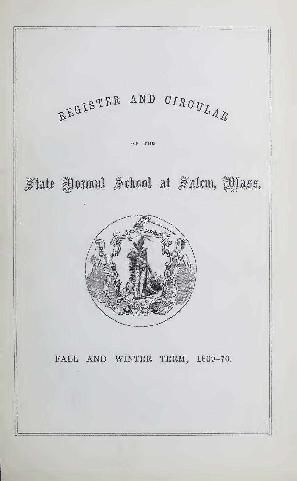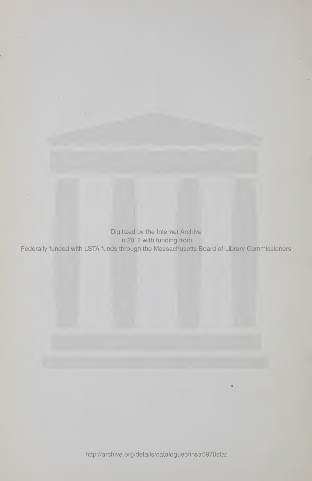Digitized by the Internet Archive that in 2012 with funding from the  $\,$ Federally funded with LSTA funds through the Massachusetts Board of Library Commissioners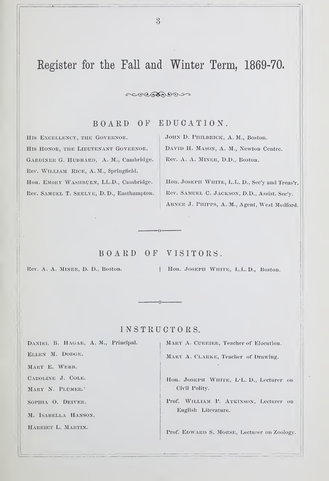# Register for the Fall and Winter Term, 1869-70.

#### $\sim$

BOARD OF EDUCATION.

HIS EXCELLENCY, THE GOVERNOR. HIS HONOR, THE LIEUTENANT GOVERNOR. GARDINER G. HUBBARD, A. M., Cambridge. Rev. WILLIAM RICE, A. M., Springfield. Hon. EMORY WASHBURN, LL.D., Cambridge. Rev. Samuel T. Seelye, D.D., Easthampton. JOHN D. PIIILBRICK, A. M., Boston. DAVID H. MASON, A. M., Newton Centre. Rev. A. A. MINER, D.D., Boston.

Hon. Joseph White, L.L. D., Sec'y and Treas'r. Rev. Samuel C. Jackson, D.D., Assist. Sec'y. ABNER J. PHIPPS, A. M., Agent, West Medford.

## BOARD OF VISITORS.

Rev. A. A. MINER, D. D., Boston. | Hon. JOSEPH WHITE, L.L.D., Boston.

## INSTRUCTORS.

DANIEL B. HAGAR, A, M., Principal. ELLEN M. DODGE. MARY E. WEBB. Caroline J. Cole. MARY N. PLUMER.'

SOPHIA O. DRIVER.

M. ISABELLA HANSON.

HARRIET L. MARTIN.

MARY A. CURRIER, Teacher of Elocution.

MARY A. CLARKE, Teacher of Drawing.

Hon. JOSEPH WHITE, L.L. D., Lecturer on Civil Polity.

Prof. WILLIAM P. ATKINSON, Lecturer on English Literature.

Prof. EDWARD S. MORSE, Lecturer on Zoology.

 $\mathcal{S}$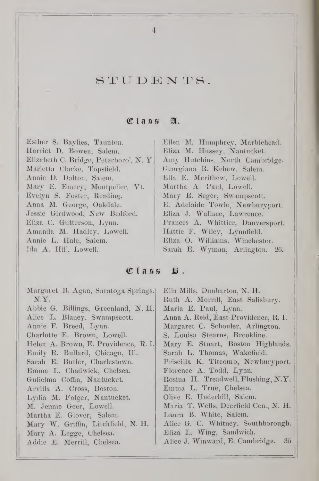## STUDENTS.

4

## $\mathfrak{C}$ lann  $\mathfrak{A}$ .

Harriet D. Bowen, Salem. Eliza M. Hussey, Nantucket. Elizabeth C. Bridge, Peterboro', N. Y. Amy Hutchins, North Cambridge. Marietta Clarke, Topsfield. Georgiana R. Kehew, Salem. Annie D. Dalton, Salem. Ella E. Merithew. Lowell. Mary E. Emery, Montpelier, Vt. | Martha A. Paul, Lowell. Evelyn S. Foster, Reading. Mary E. Seger, Swampscott. Anna M. George, Oakdale. E. Adelaide Towle, Newburyport. Jessie Girdwood, New Bedford. | Eliza J. Wallace, Lawrence. Eliza C. Gutterson, Lynn. Frances A. Whittier, Danversport. Amanda M. Hadley, Lowell. Hattie F. Wiley, Lynnfield. Annie L. Hale, Salem. Eliza O. Williams, Winchester. Ida A. Hill, Lowell. Sarah E. Wyman, Arlington. 26.

Esther S. Baylies, Taunton. Ellen M. Humphrey, Marblehead.

## $C$ lass  $E$ .

Margaret B. Agan, Saratoga Springs. Ella Mills, Dunbarton, N. H. N.Y. Ruth A. Morrill, East Salisbury. Abbie G. Billings, Greenland, N. H. Maria E. Paul, Lynn. Alice L. Blaney, Swampscott. | Anna A. Reid, East Providence, R. I. Annie F. Breed, Lynn. | Margaret C. Schouler, Arlington. Charlotte E. Brown, Lowell. S. Louisa Stearns, Brookline. Helen A. Brown, E. Providence, R. I. Mary E. Stuart, Boston Highlands. Emily R. Bullard, Chicago, 111. Sarah L. Thomas, Wakefield. Sarah E. Butler, Charlestown. | Priscilla K. Titcomb, Newburyport. Emma L. Chadwick, Chelsea. | Florence A. Todd, Lynn. Gulielma Coffin, Nantucket. Rosina H. Treadwell, Flushing, N.Y. Arvilla A. Cross, Boston. Emma L. True, Chelsea. Lydia M. Folger, Nantucket. Olive E. Underhill, Salem. M. Jennie Geer, Lowell. Maria T. Wells, Deerfield Cen., N. H. Martha E. Glover, Salem. Laura B. White, Salem. Mary W. Griffin, Litchfield, N. H. | Alice G. C. Whitney, Southborough. Mary A. Legge, Chelsea. | Eliza L. Wing, Sandwich. Addie E. Merrill, Chelsea. Alice J. Winward, E. Cambridge. 35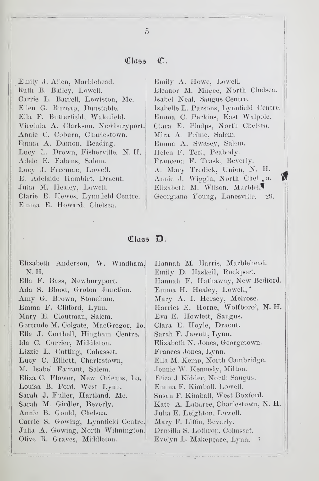#### C. Class

Emily J. Allen, Marblehead. Ruth B. Bailey, Lowell. Carrie L. Barrell, Lewiston, Me. Ellen G. Burnap, Dunstable. Ella F. Butterfield, Wakefield. Virginia A. Clarkson, Newburyport. Annie C. Coburn, Charlestown. Emma A. Damon, Reading. Lucy L. Drown, Fisherville. N. H. Adele E. Fabens, Salem. Lucy J. Freeman, Lowell. E. Adelaide Hamblet, Dracut. Julia M. Healey, Lowell. Clarie E. Hewes, Lynnfield Centre. Emma E. Howard, Chelsea.

Emily A. Howe, Lowell. Eleanor M. Magee, North Chelsea. Isabel Neal, Saugus Centre. Isabelle L. Parsons, Lynnfield Centre. Emma C. Perkins, East Walpole. Clara E. Phelps, North Chelsea. Mira A. Prime, Salem. Emma A. Swasey, Salem. Helen F. Teel, Peabody. Francena F. Trask, Beverly. A. Mary Tredick, Union, N. H. Annie J. Wiggin, North Chel, a. Elizabeth M. Wilson, Marbleh Georgiana Young, Lanesville. 29.

#### $\mathbb{C}$ lass  $\mathbb{D}$ .

Elizabeth Anderson, W. Windham, Hannah M. Harris, Marblehead. Emily D. Haskeil, Rockport. N.H. Ella F. Bass, Newburyport. Hannah F. Hathaway, New Bedford. Emma H. Healey, Lowell, Ada S. Blood, Groton Junction. Mary A. I. Hersey, Melrose. Amy G. Brown, Stoneham. Harriet E. Horne, Wolfboro', N. H. Emma F. Clifford, Lynn. Mary E. Cloutman, Salem. Eva E. Howlett, Saugus. Gertrude M. Colgate, MacGregor, Io. Clara E. Hoyle, Dracut. Ella J. Corthell, Hingham Centre. Sarah F. Jewett, Lynn. Ida C. Currier, Middleton. Elizabeth N. Jones, Georgetown. Lizzie L. Cutting, Cohasset. Frances Jones, Lynn. Lucy C. Elliott, Charlestown, Ella M. Kemp, North Cambridge. M. Isabel Farrant, Salem. Jennie W. Kennedy, Milton. Eliza J Kidder, North Saugus. Eliza C. Flower, New Orleans, La. Louisa B. Ford, West Lynn. Emma F. Kimball, Lowell. Sarah J. Fuller, Hartland, Me. Snsan F. Kimball, West Boxford. Kate A. Labaree, Charlestown, N. H. Sarah M. Girdler, Beverly. Annie B. Gould, Chelsea. Julia E. Leighton, Lowell. Carrie S. Gowing, Lynnfield Centre. Mary F. Liffin, Beverly. Julia A. Gowing, North Wilmington. Drusilla S. Lothrop, Collasset. Olive R. Graves, Middleton. Evelyn L. Makepeace, Lynn.

 $\tilde{5}$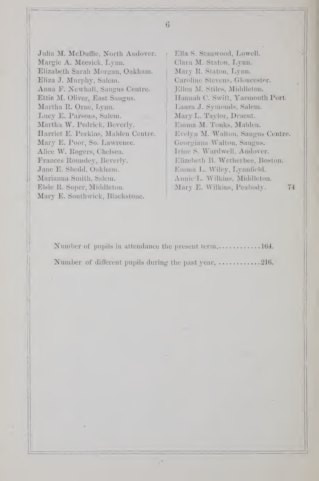Julia M. McDuffie, North Andover. Margie A. Meesick, Lynn. Elizabeth Sarah Morgan, Oakham. Eliza J. Murphy, Salem. Anna F. Newhall, Saugus Centre. Ettie M. Oliver, East Saugus. Martha R. Orne, Lynn. Lucy E. Parsons, Salem. Martha W. Pedrick, Beverly. Plarriet E. Perkins, Maiden Centre. Mary E. Poor, So. Lawrence. Alice W. Rogers, Chelsea. Frances Roundey, Beverly. Jane E. Shedd, Oakham. Marianna Smith, Salem. Elsie R. Soper, Middleton. Mary E. Southwick, Blackstone.

Ella S. Stanwood, Lowell. Clara M. Staton, Lynn. Mary R. Staton, Lynn. Caroline Stevens, Gloucester. Ellen M. Stiles, Middleton. Hannah C. Swift, Yarmouth Port Laura J. Symonds, Salem. Mary L. Taylor, Dracut. Emma M. Tonks, Maiden. Evelyn M. Walton, Saugus Centre. Georgiana Walton, Saugus. Irine S. Ward well, Andover. Elizebeth B. Wetherbee, Boston. Emma L.Wiley, Lynn field. Annie L. Wilkins, Middleton. Mary E. Wilkins, Peabody. 74

Number of pupils in attendance the present term,  $\dots \dots \dots \dots 164$ . Number of different pupils during the past year,  $\dots\dots\dots\dots 216$ .

6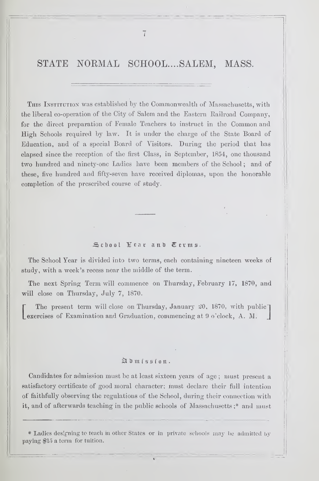## STATE NORMAL SCHOOL....SALEM, MASS.

THIS INSTITUTION was established by the Commonwealth of Massachusetts, with the liberal co-operation of the City of Salem and the Eastern Railroad Company, for the direct preparation of Female Teachers to instruct in the Common and High Schools required by law. It is under the charge of the State Board of Education, and of a special Board of Visitors. During the period that has elapsed since the reception of the first Class, in September, 1854, one thousand two hundred and ninety-one Ladies have been members of the School ; and of these, five hundred and fifty-seven have received diplomas, upon the honorable completion of the prescribed course of study.

#### School Year and Terms.

The School Year is divided into two terms, each containing nineteen weeks of study, with a week's recess near the middle of the term.

The next Spring Term will commence on Thursday, February 17, 1870, and will close on Thursday, July 7, 1870.

The present term will close on Thursday, January  $\mathfrak{L}0$ , 1870, with public  $\overline{\phantom{a}}$ Lexercises of Examination and Graduation, commencing at 9 o'clock, A. M.

#### gl D m i s s i o n.

Candidates for admission must be at least sixteen years of age ; must present a satisfactory certificate of good moral character; must declare their full intention of faithfully observing the regulations of the School, during their connection with it, and of afterwards teaching in the public schools of Massachusetts;\* and must

\* Ladies designing to teach in other States or in private schools may be admitted by paying \$15 a term for tuition.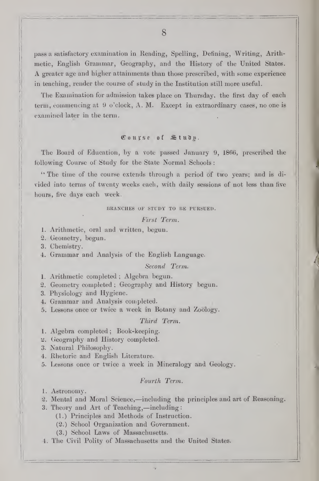pass a satisfactory examination in Reading, Spelling, Defining, Writing, Arithmetic, English Grammar, Geography, and the History of the United States. A greater age and higher attainments than those prescribed, with some experience in teaching, render the course of study in the Institution still more useful.

The Examination for admission takes place on Thursday, the first day of each term, commencing at 9 o'clock, A. M. Except in extraordinary cases, no one is examined later in the term.

## $C_0$ urse of  $\mathfrak{S}$  tudp.

The Board of Education, by a vote passed January 9, 1866, prescribed the following Course of Study for the State Normal Schools :

I

" The time of the course extends through a period of two years; and is di vided into terms of twenty weeks each, with daily sessions of not less than five hours, five days each week.

#### BRANCHES OF STUDY TO BE PURSUED.

#### First Term.

- 1. Arithmetic, oral and written, begun.
- 2. Geometry, begun.
- 3. Chemistry.
- 4. Grammar and Analysis of the English Language.

#### Second Term.

1. Arithmetic completed ; Algebra begun.

2. Geometry completed ; Geography and History begun.

- 3. Physiology and Hygiene.
- 4. Grammar and Analysis couipleted.
- 5. Lessons once or twice a week in Botany and Zoology.

## Third Term.

- 1. Algebra completed; Book-keeping.
- 2. Geography and History completed.
- 3. Natural Philosophy.
- 4. Rhetoric and English Literature.
- 5. Lessons once or twice a week in Mineralogy and Geology.

#### Fourth Term.

1. Astronomy.

- 2. Mental and Moral Science,—including the principles and art of Reasoning.
- 3. Theory and Art of Teaching,—including
	- (1.) Principles and Methods of Instruction.
	- (2.) School Organization and Government.
	- (3.) School Laws of Massachusetts.
- 4. The Civil Polity of Massachusetts and the United States.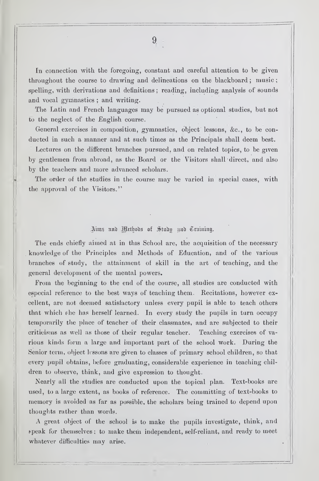In connection with the foregoing, constant and careful attention to be given throughout the course to drawing and delineations on the blackboard; music; spelling, with derivations and definitions ; reading, including analysis of sounds and vocal gymnastics ; and writing.

The Latin and French languages may be pursued as optional studies, but not to the neglect of the English course.

General exercises in composition, gymnastics, object lessons, &c., to be con ducted in such a manner and at such times as the Principals shall deem best. Lectures on the different branches pursued, and on related topics, to be given by gentlemen from abroad, as the Board or the Visitors shall direct, and also by the teachers and more advanced scholars.

The order of the studies in the course may be varied in special cases, with the approval of the Visitors."

#### Aims und Wethods of Study und Training.

The ends chiefly aimed at in this School are, the acquisition of the necessary knowledge of the Principles and Methods of Education, and of the various branches of study, the attainment of skill in the art of teaching, and the general development of the mental powers.

From the beginning to the end of the course, all studies are conducted with especial reference to the best ways of teaching them. Recitations, however excellent, are not deemed satisfactory unless every pupil is able to teach others that which ehe has herself learned. In every study the pupils in turn occupy temporarily the place of teacher of their classmates, and are subjected to their criticisms as well as those of their regular teacher. Teaching exercises of va rious kinds form a large and important part of the school work. During the Senior term, object lessons are given to classes of primary school children, so that every pupil obtains, before graduating, considerable experience in teaching children to observe, think, and give expression to thought.

Nearly all the studies are conducted upon the topical plan. Text-books are used, to a large extent, as books of reference. The committing of text-books to memory is avoided as far as possible, the scholars being trained to depend upon thoughts rather than words.

A great object of the school is to make the pupils investigate, think, and <sup>f</sup> peak for themselves ; to make them independent, self-reliant, and ready to meet whatever difficulties may arise.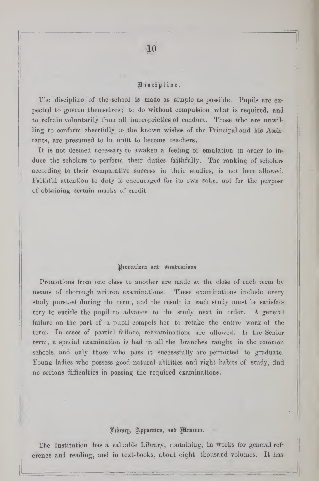### ^ <sup>t</sup> <sup>s</sup> <sup>c</sup> <sup>t</sup> <sup>p</sup> <sup>I</sup> <sup>i</sup> <sup>n</sup> <sup>c</sup>

The discipline of the school is made as simple as possible. Pupils are expected to govern themselves ; to do without compulsion v^hat is required, and to refrain voluntarily from all improprieties of conduct. Those who are unwilling to conform cheerfully to the known wishes of the Principal and his Assistants, are presumed to be unfit to become teachers.

It is not deemed necessary to awaken a feeling of emulation in order to induce the scholars to perform their duties faithfully. The ranking of scholars according to their comparative success in their studies, is not here allowed. Faithful attention to duty is encouraged for its own sake, not for the purpose of obtaining certain marks of credit.

#### Promotions and Graduations.

Promotions from one class to another are made at the close of each term by means of thorough written examinations. These examinations include every study pursued during the term, and the result in each study must be satisfactory to entitle the pupil to advance to the study next in order. A general failure on the part of a pupil compels her to retake the entire work of the term. In cases of partial failure, reexaminations are allowed. In the Senior term, a special examination is had in all the branches taught in the common schools, and only those who pass it successfully are permitted to graduate. Young ladies who possess good natural abilities and right habits of study, find no serious difficulties in passing the required examinations.

#### Fibrary, Apparatus, and Museum.

The Institution has a valuable Library, containing, in works for general ref erence and reading, and in text-books, about eight thousand volumes. It has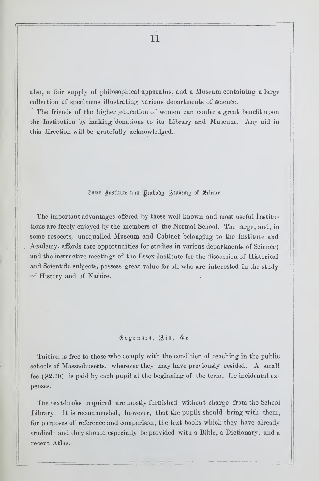also, a fair supply of philosophical apparatus, and a Museum containing a large collection of specimens illustrating various departments of science.

The friends of the higher education of women can confer a great benefit upon the Institution by making donations to its Library and Museum. Any aid in this direction will be gratefully acknowledged.

#### Esser Institute and Peaboon Academy of Science.

The important advantages offered by these well known and most useful Institutions are freely enjoyed by the members of the Normal School. The large, and, in some respects, unequalled Museum and Cabinet belonging to the Institute and Academy, affords rare opportunities for studies in various departments of Science; and the instructive meetings of the Essex Institute for the discussion of Historical and Scientific subjects, possess great value for all who are interested in the study of History and of Nature.

### $E$ xpenses, Aid,  $x_c$

Tuition is free to those who comply with the condition of teaching in the public schools of Massachusetts, wherever they may have previously resided. A small fee (\$2.00) is paid by each pupil at the beginning of the term, for incidental ex penses.

The text-books required are mostly furnished without charge from the School Library. It is recommended, however, that the pupils should bring with tbem, for purposes of reference and comparison, the text-books which they have already studied ; and they should especially be provided with a Bible, a Dictionary, and a recent Atlas.

11